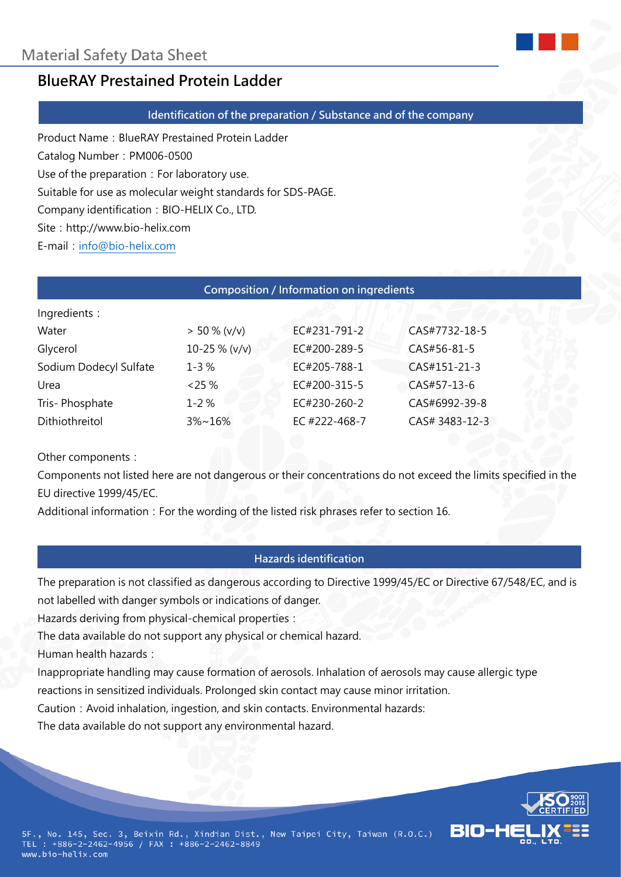

# **BlueRAY Prestained Protein Ladder**

#### **Identification of the preparation / Substance and of the company**

Product Name: BlueRAY Prestained Protein Ladder

Catalog Number:PM006-0500

Use of the preparation: For laboratory use.

Suitable for use as molecular weight standards for SDS-PAGE.

Company identification: BIO-HELIX Co., LTD.

Site: http://www.bio-helix.com

E-mail:[info@bio-helix.com](mailto:info@bio-helix.com)

#### **Composition / Information on ingredients**

| Ingredients :          |                 |               |                |
|------------------------|-----------------|---------------|----------------|
| Water                  | $> 50 \% (v/v)$ | EC#231-791-2  | CAS#7732-18-5  |
| Glycerol               | 10-25 % (v/v)   | EC#200-289-5  | CAS#56-81-5    |
| Sodium Dodecyl Sulfate | $1 - 3%$        | EC#205-788-1  | CAS#151-21-3   |
| Urea                   | $< 25\%$        | EC#200-315-5  | CAS#57-13-6    |
| Tris-Phosphate         | $1 - 2%$        | EC#230-260-2  | CAS#6992-39-8  |
| Dithiothreitol         | $3\% \sim 16\%$ | EC #222-468-7 | CAS# 3483-12-3 |
|                        |                 |               |                |

Other components:

Components not listed here are not dangerous or their concentrations do not exceed the limits specified in the EU directive 1999/45/EC.

Additional information: For the wording of the listed risk phrases refer to section 16.

# **Hazards identification**

The preparation is not classified as dangerous according to Directive 1999/45/EC or Directive 67/548/EC, and is not labelled with danger symbols or indications of danger.

Hazards deriving from physical-chemical properties:

The data available do not support any physical or chemical hazard.

Human health hazards:

Inappropriate handling may cause formation of aerosols. Inhalation of aerosols may cause allergic type reactions in sensitized individuals. Prolonged skin contact may cause minor irritation.

Caution: Avoid inhalation, ingestion, and skin contacts. Environmental hazards:

The data available do not support any environmental hazard.

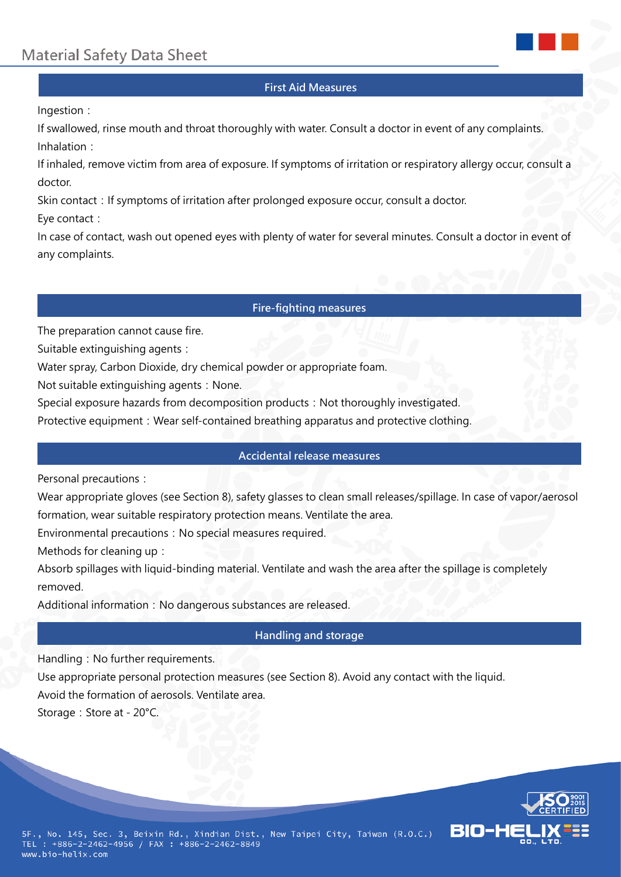

#### **First Aid Measures**

#### Ingestion:

If swallowed, rinse mouth and throat thoroughly with water. Consult a doctor in event of any complaints. Inhalation:

If inhaled, remove victim from area of exposure. If symptoms of irritation or respiratory allergy occur, consult a doctor.

Skin contact: If symptoms of irritation after prolonged exposure occur, consult a doctor.

Eye contact:

In case of contact, wash out opened eyes with plenty of water for several minutes. Consult a doctor in event of any complaints.

#### **Fire-fighting measures**

The preparation cannot cause fire.

Suitable extinguishing agents:

Water spray, Carbon Dioxide, dry chemical powder or appropriate foam.

Not suitable extinguishing agents: None.

Special exposure hazards from decomposition products: Not thoroughly investigated.

Protective equipment: Wear self-contained breathing apparatus and protective clothing.

### **Accidental release measures**

Personal precautions:

Wear appropriate gloves (see Section 8), safety glasses to clean small releases/spillage. In case of vapor/aerosol formation, wear suitable respiratory protection means. Ventilate the area.

Environmental precautions: No special measures required.

Methods for cleaning up:

Absorb spillages with liquid-binding material. Ventilate and wash the area after the spillage is completely removed.

Additional information: No dangerous substances are released.

# **Handling and storage**

Handling: No further requirements.

Use appropriate personal protection measures (see Section 8). Avoid any contact with the liquid.

Avoid the formation of aerosols. Ventilate area.

Storage: Store at - 20°C.

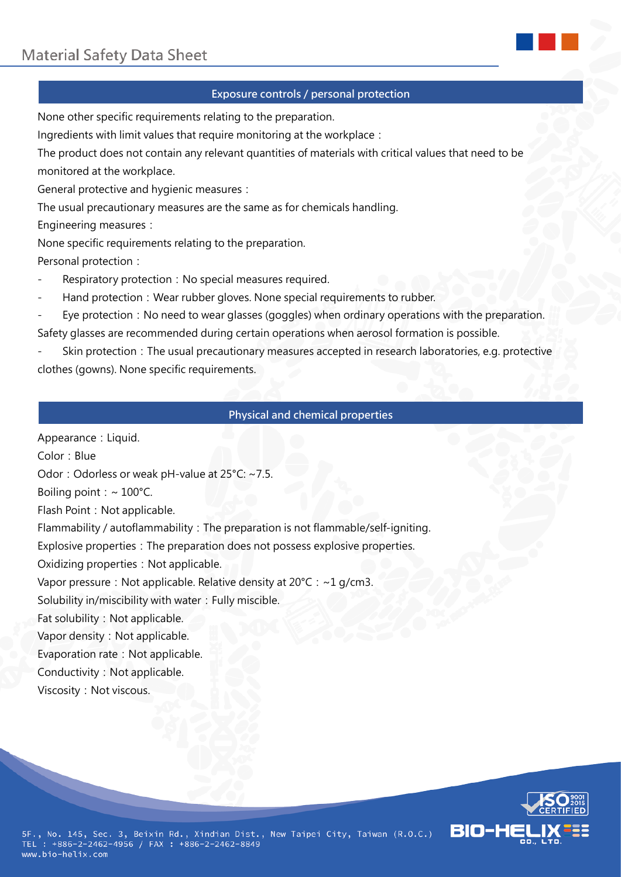

# **Exposure controls / personal protection**

None other specific requirements relating to the preparation.

Ingredients with limit values that require monitoring at the workplace:

The product does not contain any relevant quantities of materials with critical values that need to be monitored at the workplace.

General protective and hygienic measures:

The usual precautionary measures are the same as for chemicals handling.

Engineering measures:

None specific requirements relating to the preparation.

Personal protection:

- Respiratory protection: No special measures required.
- Hand protection: Wear rubber gloves. None special requirements to rubber.
- Eye protection: No need to wear glasses (goggles) when ordinary operations with the preparation. Safety glasses are recommended during certain operations when aerosol formation is possible.
- Skin protection: The usual precautionary measures accepted in research laboratories, e.g. protective clothes (gowns). None specific requirements.

# **Physical and chemical properties**

Appearance: Liquid. Color: Blue Odor: Odorless or weak pH-value at 25°C: ~7.5. Boiling point:  $\sim 100^{\circ}$ C. Flash Point: Not applicable. Flammability / autoflammability: The preparation is not flammable/self-igniting. Explosive properties: The preparation does not possess explosive properties. Oxidizing properties: Not applicable. Vapor pressure: Not applicable. Relative density at  $20^{\circ}$ C: ~1 g/cm3. Solubility in/miscibility with water: Fully miscible. Fat solubility: Not applicable. Vapor density: Not applicable. Evaporation rate: Not applicable. Conductivity: Not applicable. Viscosity: Not viscous.



5F., No. 145, Sec. 3, Beixin Rd., Xindian Dist., New Taipei City, Taiwan (R.O.C.) TEL : +886-2-2462-4956 / FAX : +886-2-2462-8849 www.bio-helix.com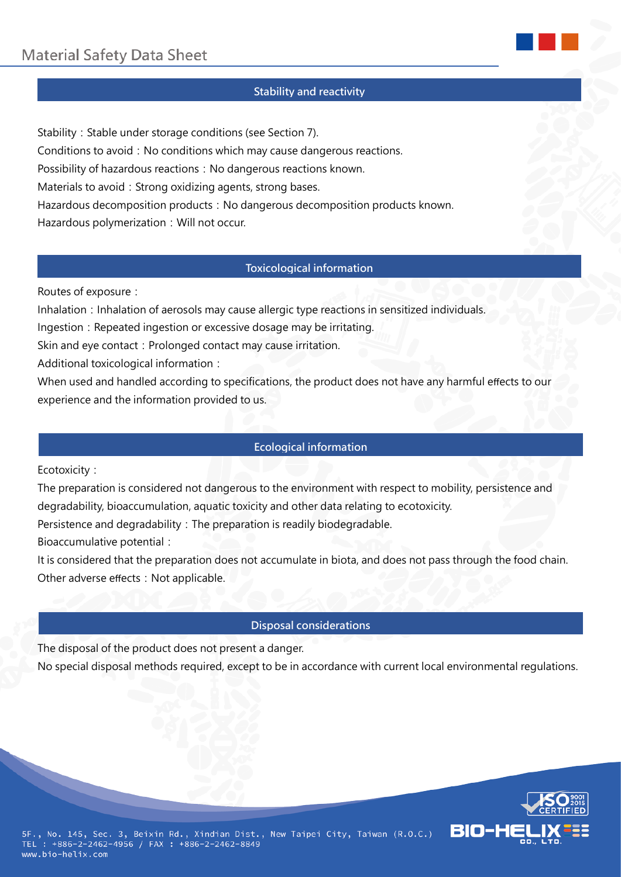### **Stability and reactivity**

Stability: Stable under storage conditions (see Section 7). Conditions to avoid: No conditions which may cause dangerous reactions. Possibility of hazardous reactions: No dangerous reactions known. Materials to avoid: Strong oxidizing agents, strong bases. Hazardous decomposition products: No dangerous decomposition products known. Hazardous polymerization: Will not occur.

# **Toxicological information**

Routes of exposure:

Inhalation: Inhalation of aerosols may cause allergic type reactions in sensitized individuals.

Ingestion: Repeated ingestion or excessive dosage may be irritating.

Skin and eye contact: Prolonged contact may cause irritation.

Additional toxicological information:

When used and handled according to specifications, the product does not have any harmful effects to our experience and the information provided to us.

### **Ecological information**

Ecotoxicity:

The preparation is considered not dangerous to the environment with respect to mobility, persistence and degradability, bioaccumulation, aquatic toxicity and other data relating to ecotoxicity.

Persistence and degradability: The preparation is readily biodegradable.

Bioaccumulative potential:

It is considered that the preparation does not accumulate in biota, and does not pass through the food chain. Other adverse effects: Not applicable.

#### **Disposal considerations**

The disposal of the product does not present a danger.

No special disposal methods required, except to be in accordance with current local environmental regulations.